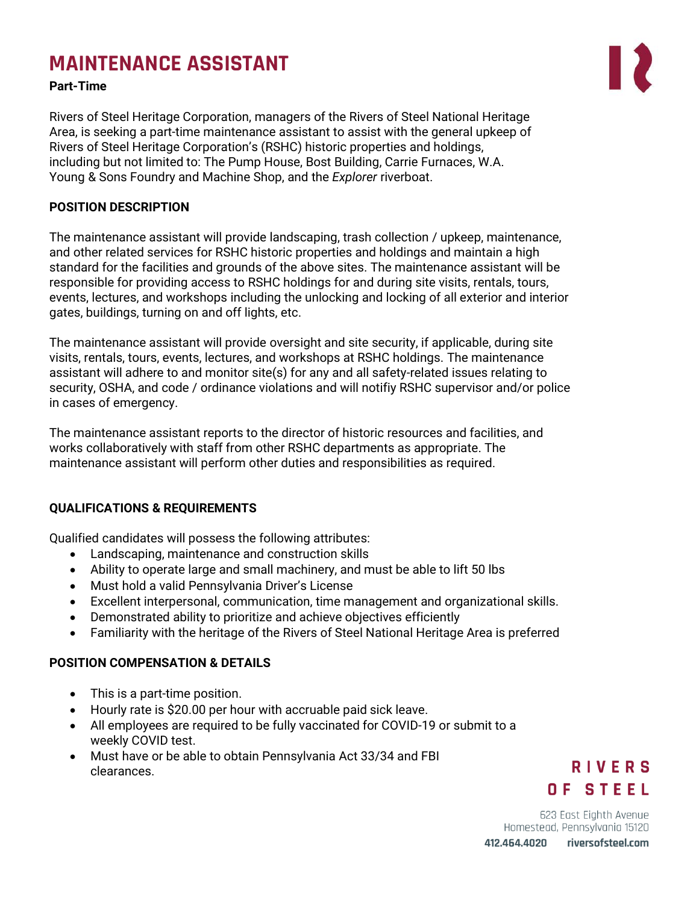# **MAINTENANCE ASSISTANT**

#### **Part-Time**

Rivers of Steel Heritage Corporation, managers of the Rivers of Steel National Heritage Area, is seeking a part-time maintenance assistant to assist with the general upkeep of Rivers of Steel Heritage Corporation's (RSHC) historic properties and holdings, including but not limited to: The Pump House, Bost Building, Carrie Furnaces, W.A. Young & Sons Foundry and Machine Shop, and the *Explorer* riverboat.

# **POSITION DESCRIPTION**

The maintenance assistant will provide landscaping, trash collection / upkeep, maintenance, and other related services for RSHC historic properties and holdings and maintain a high standard for the facilities and grounds of the above sites. The maintenance assistant will be responsible for providing access to RSHC holdings for and during site visits, rentals, tours, events, lectures, and workshops including the unlocking and locking of all exterior and interior gates, buildings, turning on and off lights, etc.

The maintenance assistant will provide oversight and site security, if applicable, during site visits, rentals, tours, events, lectures, and workshops at RSHC holdings. The maintenance assistant will adhere to and monitor site(s) for any and all safety-related issues relating to security, OSHA, and code / ordinance violations and will notifiy RSHC supervisor and/or police in cases of emergency.

The maintenance assistant reports to the director of historic resources and facilities, and works collaboratively with staff from other RSHC departments as appropriate. The maintenance assistant will perform other duties and responsibilities as required.

# **QUALIFICATIONS & REQUIREMENTS**

Qualified candidates will possess the following attributes:

- Landscaping, maintenance and construction skills
- Ability to operate large and small machinery, and must be able to lift 50 lbs
- Must hold a valid Pennsylvania Driver's License
- Excellent interpersonal, communication, time management and organizational skills.
- Demonstrated ability to prioritize and achieve objectives efficiently
- Familiarity with the heritage of the Rivers of Steel National Heritage Area is preferred

# **POSITION COMPENSATION & DETAILS**

- This is a part-time position.
- Hourly rate is \$20.00 per hour with accruable paid sick leave.
- All employees are required to be fully vaccinated for COVID-19 or submit to a weekly COVID test.
- Must have or be able to obtain Pennsylvania Act 33/34 and FBI clearances.

# **RIVERS** OF STEEL

623 East Eighth Avenue Homestead, Pennsylvania 15120

riversofsteel.com 412.464.4020